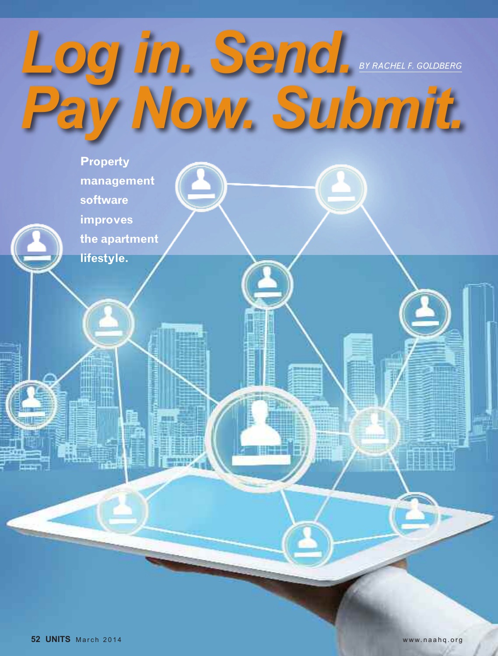

**software improves the apartment lifestyle.**

**management**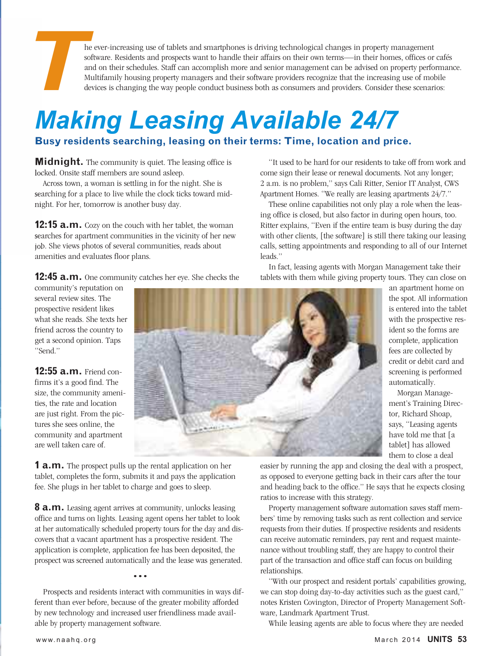**The ever-increasing use of tablets and smartphones is driving technological changes in property management software. Residents and prospects want to handle their affairs on their own terms—in their homes, offices or and o** software. Residents and prospects want to handle their affairs on their own terms—in their homes, offices or cafés and on their schedules. Staff can accomplish more and senior management can be advised on property performance. Multifamily housing property managers and their software providers recognize that the increasing use of mobile devices is changing the way people conduct business both as consumers and providers. Consider these scenarios:

### *Making Leasing Available 24/7* **Busy residents searching, leasing on their terms: Time, location and price.**

**Midnight.** The community is quiet. The leasing office is locked. Onsite staff members are sound asleep.

Across town, a woman is settling in for the night. She is searching for a place to live while the clock ticks toward midnight. For her, tomorrow is another busy day.

**12:15 <b>a.m.** Cozy on the couch with her tablet, the woman searches for apartment communities in the vicinity of her new job. She views photos of several communities, reads about amenities and evaluates floor plans.

**12:45 a.m.** One community catches her eye. She checks the

community's reputation on several review sites. The prospective resident likes what she reads. She texts her friend across the country to get a second opinion. Taps "Send."

**12:55 a.m.** Friend confirms it's a good find. The size, the community amenities, the rate and location are just right. From the pictures she sees online, the community and apartment are well taken care of.



**1 a.m.** The prospect pulls up the rental application on her tablet, completes the form, submits it and pays the application fee. She plugs in her tablet to charge and goes to sleep.

**8 a.m.** Leasing agent arrives at community, unlocks leasing office and turns on lights. Leasing agent opens her tablet to look at her automatically scheduled property tours for the day and discovers that a vacant apartment has a prospective resident. The application is complete, application fee has been deposited, the prospect was screened automatically and the lease was generated.

Prospects and residents interact with communities in ways different than ever before, because of the greater mobility afforded by new technology and increased user friendliness made available by property management software.

•••

"It used to be hard for our residents to take off from work and come sign their lease or renewal documents. Not any longer; 2 a.m. is no problem," says Cali Ritter, Senior IT Analyst, CWS Apartment Homes. "We really are leasing apartments 24/7."

These online capabilities not only play a role when the leasing office is closed, but also factor in during open hours, too. Ritter explains, "Even if the entire team is busy during the day with other clients, [the software] is still there taking our leasing calls, setting appointments and responding to all of our Internet leads."

In fact, leasing agents with Morgan Management take their tablets with them while giving property tours. They can close on

> an apartment home on the spot. All information is entered into the tablet with the prospective resident so the forms are complete, application fees are collected by credit or debit card and screening is performed automatically.

Morgan Management's Training Director, Richard Shoap, says, "Leasing agents have told me that [a tablet] has allowed them to close a deal

easier by running the app and closing the deal with a prospect, as opposed to everyone getting back in their cars after the tour and heading back to the office." He says that he expects closing ratios to increase with this strategy.

Property management software automation saves staff members' time by removing tasks such as rent collection and service requests from their duties. If prospective residents and residents can receive automatic reminders, pay rent and request maintenance without troubling staff, they are happy to control their part of the transaction and office staff can focus on building relationships.

"With our prospect and resident portals' capabilities growing, we can stop doing day-to-day activities such as the guest card," notes Kristen Covington, Director of Property Management Software, Landmark Apartment Trust.

While leasing agents are able to focus where they are needed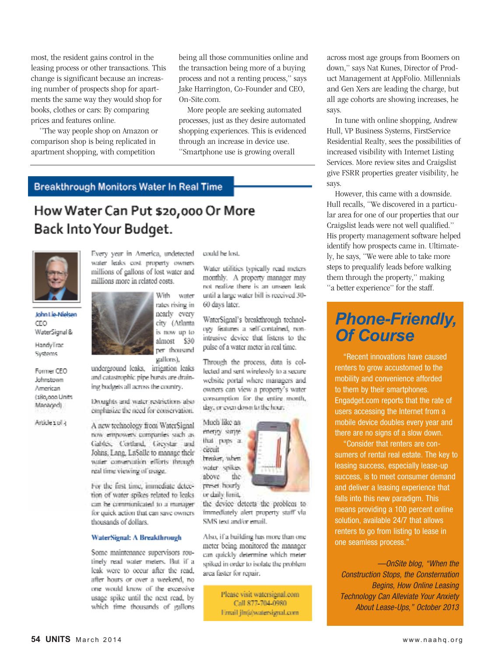most, the resident gains control in the leasing process or other transactions. This change is significant because an increasing number of prospects shop for apartments the same way they would shop for books, clothes or cars: By comparing prices and features online.

"The way people shop on Amazon or comparison shop is being replicated in apartment shopping, with competition

being all those communities online and the transaction being more of a buying process and not a renting process," says Jake Harrington, Co-Founder and CEO, On-Site.com.

More people are seeking automated processes, just as they desire automated shopping experiences. This is evidenced through an increase in device use. "Smartphone use is growing overall

**Breakthrough Monitors Water In Real Time** 

### How Water Can Put \$20,000 Or More Back Into Your Budget.



John Lie-Nielsen CEO WaterSignal &

HandyTrac Systems

Former CEO Johnstown American (180,000 Units Managed)

Article 10F3

Every year in America, undetected water leaks cost property owners. millions of gallons of lost water and millions more in related costs.

> With water rates rising in nearly every city (Atlanta is now up to almost \$30 per thousand

gallores), underground leaks, irrigation leaks and catastrophic pipe bursts are draining budgets all across the country.

Droughts and water-restrictions aboremphasize the need for conservation.

A new technology from WaterSignal now empowers companies such as Gables, Corthard, Greystar and Johns, Lane, LaSelle to manage their water conservation efforts through real time viewing of usage.

For the first time, immediate detection of water spikes related to leaks can be communicated to a manager for quick action that can save owners thousands of dollars.

#### WaterSignal: A Breakthrough

Some maintenance supervisors routinely read water meters. But if a leak were to occur after the read. after hours or over a weekend, no one would know of the excessive usage spike until the next read, by which time thousands of gallons could be lost.

Water utilities typically read meters monthly. A property manager may not realize there is an unseen leak until a large water bill is received 30-60 days later.

WaterSignal's breakthrough technology features a self-contained, nonintrusive device that listens to the pulse of a water meter in real time.

Through the process, data is collected and sent wirelessly to a secure website portal where managers and owners can view a property's water consumption. for, the entire month, ikey, or even down to the hour.

Much like an enerity same. that pops a circuit breaker, when water spikes. the stove paser hourly or daily limit.



the device detects the problem to immediately alert property staff via SMS text and/or email.

Also, if a building has more than one meter being monitored the manager can quickly determine which meter spiked in order to isolate the problemarea faster for renair.

> Please visit watersignal.com Call 877-704-0980 Email jln@watersignal.com

across most age groups from Boomers on down," says Nat Kunes, Director of Product Management at AppFolio. Millennials and Gen Xers are leading the charge, but all age cohorts are showing increases, he says.

In tune with online shopping, Andrew Hull, VP Business Systems, FirstService Residential Realty, sees the possibilities of increased visibility with Internet Listing Services. More review sites and Craigslist give FSRR properties greater visibility, he says.

However, this came with a downside. Hull recalls, "We discovered in a particular area for one of our properties that our Craigslist leads were not well qualified." His property management software helped identify how prospects came in. Ultimately, he says, "We were able to take more steps to prequalify leads before walking them through the property," making "a better experience" for the staff.

### *Phone-Friendly, Of Course*

"Recent innovations have caused renters to grow accustomed to the mobility and convenience afforded to them by their smartphones. Engadget.com reports that the rate of users accessing the Internet from a mobile device doubles every year and there are no signs of a slow down.

"Consider that renters are consumers of rental real estate. The key to leasing success, especially lease-up success, is to meet consumer demand and deliver a leasing experience that falls into this new paradigm. This means providing a 100 percent online solution, available 24/7 that allows renters to go from listing to lease in one seamless process."

*—OnSite blog, "When the Construction Stops, the Consternation Begins, How Online Leasing Technology Can Alleviate Your Anxiety About Lease-Ups," October 2013*

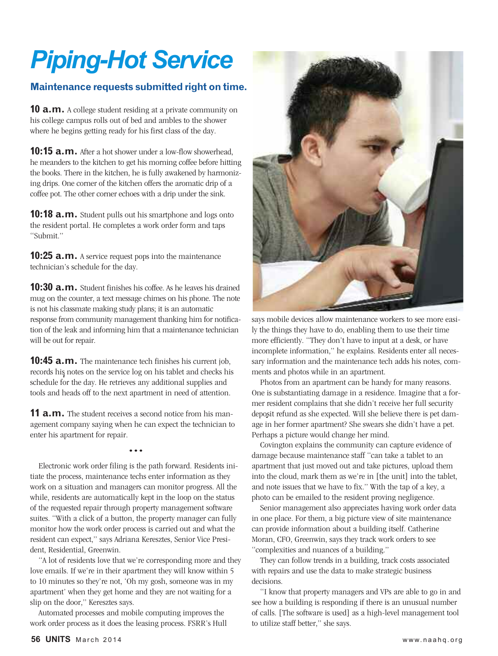# *Piping-Hot Service*

#### **Maintenance requests submitted right on time.**

**10 a.m.** A college student residing at a private community on his college campus rolls out of bed and ambles to the shower where he begins getting ready for his first class of the day.

**10:15 a.m.** After a hot shower under a low-flow showerhead, he meanders to the kitchen to get his morning coffee before hitting the books. There in the kitchen, he is fully awakened by harmonizing drips. One corner of the kitchen offers the aromatic drip of a coffee pot. The other corner echoes with a drip under the sink.

**10:18 a.m.** Student pulls out his smartphone and logs onto the resident portal. He completes a work order form and taps "Submit."

**10:25 a.m.** A service request pops into the maintenance technician's schedule for the day.

**10:30 a.m.** Student finishes his coffee. As he leaves his drained mug on the counter, a text message chimes on his phone. The note is not his classmate making study plans; it is an automatic response from community management thanking him for notification of the leak and informing him that a maintenance technician will be out for repair.

**10:45 a.m.** The maintenance tech finishes his current job, records his notes on the service log on his tablet and checks his schedule for the day. He retrieves any additional supplies and tools and heads off to the next apartment in need of attention.

**11 <b>a.m.** The student receives a second notice from his management company saying when he can expect the technician to enter his apartment for repair.

•••

Electronic work order filing is the path forward. Residents initiate the process, maintenance techs enter information as they work on a situation and managers can monitor progress. All the while, residents are automatically kept in the loop on the status of the requested repair through property management software suites. "With a click of a button, the property manager can fully monitor how the work order process is carried out and what the resident can expect," says Adriana Keresztes, Senior Vice President, Residential, Greenwin.

"A lot of residents love that we're corresponding more and they love emails. If we're in their apartment they will know within 5 to 10 minutes so they're not, 'Oh my gosh, someone was in my apartment' when they get home and they are not waiting for a slip on the door," Keresztes says.

Automated processes and mobile computing improves the work order process as it does the leasing process. FSRR's Hull



says mobile devices allow maintenance workers to see more easily the things they have to do, enabling them to use their time more efficiently. "They don't have to input at a desk, or have incomplete information," he explains. Residents enter all necessary information and the maintenance tech adds his notes, comments and photos while in an apartment.

Photos from an apartment can be handy for many reasons. One is substantiating damage in a residence. Imagine that a former resident complains that she didn't receive her full security deposit refund as she expected. Will she believe there is pet damage in her former apartment? She swears she didn't have a pet. Perhaps a picture would change her mind.

Covington explains the community can capture evidence of damage because maintenance staff "can take a tablet to an apartment that just moved out and take pictures, upload them into the cloud, mark them as we're in [the unit] into the tablet, and note issues that we have to fix." With the tap of a key, a photo can be emailed to the resident proving negligence.

Senior management also appreciates having work order data in one place. For them, a big picture view of site maintenance can provide information about a building itself. Catherine Moran, CFO, Greenwin, says they track work orders to see "complexities and nuances of a building."

They can follow trends in a building, track costs associated with repairs and use the data to make strategic business decisions.

"I know that property managers and VPs are able to go in and see how a building is responding if there is an unusual number of calls. [The software is used] as a high-level management tool to utilize staff better," she says.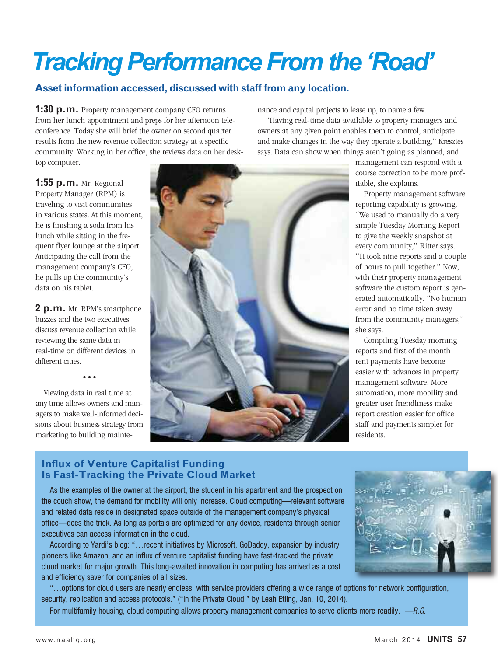## **Tracking Performance From the 'Road'**

### **Assetinformation accessed, discussed with stafffrom any location.**

**1:30 p.m.** Property management company CFO returns from her lunch appointment and preps for her afternoon teleconference. Today she will brief the owner on second quarter results from the new revenue collection strategy at a specific community. Working in her office, she reviews data on her desktop computer.

nance and capital projects to lease up, to name a few.

"Having real-time data available to property managers and owners at any given point enables them to control, anticipate and make changes in the way they operate a building," Kresztes says. Data can show when things aren't going as planned, and

**1:55 p.m.** Mr. Regional Property Manager (RPM) is traveling to visit communities in various states. At this moment, he is finishing a soda from his lunch while sitting in the frequent flyer lounge at the airport. Anticipating the call from the management company's CFO, he pulls up the community's data on his tablet.

**2 p.m.** Mr. RPM's smartphone buzzes and the two executives discuss revenue collection while reviewing the same data in real-time on different devices in different cities.

•••

Viewing data in real time at any time allows owners and managers to make well-informed decisions about business strategy from marketing to building mainte-



management can respond with a course correction to be more profitable, she explains.

Property management software reporting capability is growing. "We used to manually do a very simple Tuesday Morning Report to give the weekly snapshot at every community," Ritter says. "It took nine reports and a couple of hours to pull together." Now, with their property management software the custom report is generated automatically. "No human error and no time taken away from the community managers," she says.

Compiling Tuesday morning reports and first of the month rent payments have become easier with advances in property management software. More automation, more mobility and greater user friendliness make report creation easier for office staff and payments simpler for residents.

#### **Influx of Venture Capitalist Funding Is Fast-Tracking the Private Cloud Market**

As the examples of the owner at the airport, the student in his apartment and the prospect on the couch show, the demand for mobility will only increase. Cloud computing—relevant software and related data reside in designated space outside of the management company's physical office—does the trick. As long as portals are optimized for any device, residents through senior executives can access information in the cloud.

According to Yardi's blog: "…recent initiatives by Microsoft, GoDaddy, expansion by industry pioneers like Amazon, and an influx of venture capitalist funding have fast-tracked the private cloud market for major growth. This long-awaited innovation in computing has arrived as a cost and efficiency saver for companies of all sizes.

"…options for cloud users are nearly endless, with service providers offering a wide range of options for network configuration, security, replication and access protocols." ("In the Private Cloud," by Leah Etling, Jan. 10, 2014).

For multifamily housing, cloud computing allows property management companies to serve clients more readily. *—R.G.*

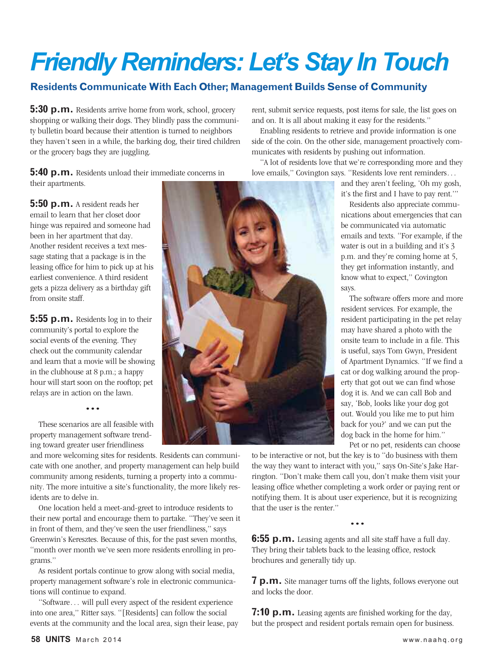# *Friendly Reminders: Let's Stay In Touch*

### **Residents CommunicateWith Each Other; Management Builds Sense of Community**

**5:30 p.m.** Residents arrive home from work, school, grocery shopping or walking their dogs. They blindly pass the community bulletin board because their attention is turned to neighbors they haven't seen in a while, the barking dog, their tired children or the grocery bags they are juggling.

**5:40 p.m.** Residents unload their immediate concerns in their apartments.

**5:50 p.m.** A resident reads her email to learn that her closet door hinge was repaired and someone had been in her apartment that day. Another resident receives a text message stating that a package is in the leasing office for him to pick up at his earliest convenience. A third resident gets a pizza delivery as a birthday gift from onsite staff.

**5:55 p.m.** Residents log in to their community's portal to explore the social events of the evening. They check out the community calendar and learn that a movie will be showing in the clubhouse at 8 p.m.; a happy hour will start soon on the rooftop; pet relays are in action on the lawn.

•••

These scenarios are all feasible with property management software trending toward greater user friendliness

and more welcoming sites for residents. Residents can communicate with one another, and property management can help build community among residents, turning a property into a community. The more intuitive a site's functionality, the more likely residents are to delve in.

One location held a meet-and-greet to introduce residents to their new portal and encourage them to partake. "They've seen it in front of them, and they've seen the user friendliness," says Greenwin's Keresztes. Because of this, for the past seven months, "month over month we've seen more residents enrolling in programs."

As resident portals continue to grow along with social media, property management software's role in electronic communications will continue to expand.

"Software… will pull every aspect of the resident experience into one area," Ritter says. "[Residents] can follow the social events at the community and the local area, sign their lease, pay rent, submit service requests, post items for sale, the list goes on and on. It is all about making it easy for the residents."

Enabling residents to retrieve and provide information is one side of the coin. On the other side, management proactively communicates with residents by pushing out information.

"A lot of residents love that we're corresponding more and they love emails," Covington says. "Residents love rent reminders…

> and they aren't feeling, 'Oh my gosh, it's the first and I have to pay rent.'"

Residents also appreciate communications about emergencies that can be communicated via automatic emails and texts. "For example, if the water is out in a building and it's 3 p.m. and they're coming home at 5, they get information instantly, and know what to expect," Covington says.

The software offers more and more resident services. For example, the resident participating in the pet relay may have shared a photo with the onsite team to include in a file. This is useful, says Tom Gwyn, President of Apartment Dynamics. "If we find a cat or dog walking around the property that got out we can find whose dog it is. And we can call Bob and say, 'Bob, looks like your dog got out. Would you like me to put him back for you?' and we can put the dog back in the home for him."

Pet or no pet, residents can choose

to be interactive or not, but the key is to "do business with them the way they want to interact with you," says On-Site's Jake Harrington. "Don't make them call you, don't make them visit your leasing office whether completing a work order or paying rent or notifying them. It is about user experience, but it is recognizing that the user is the renter."

•••

**6:55 p.m.** Leasing agents and all site staff have a full day. They bring their tablets back to the leasing office, restock brochures and generally tidy up.

**7 p.m.** Site manager turns off the lights, follows everyone out and locks the door.

**7:10 p.m.** Leasing agents are finished working for the day, but the prospect and resident portals remain open for business.